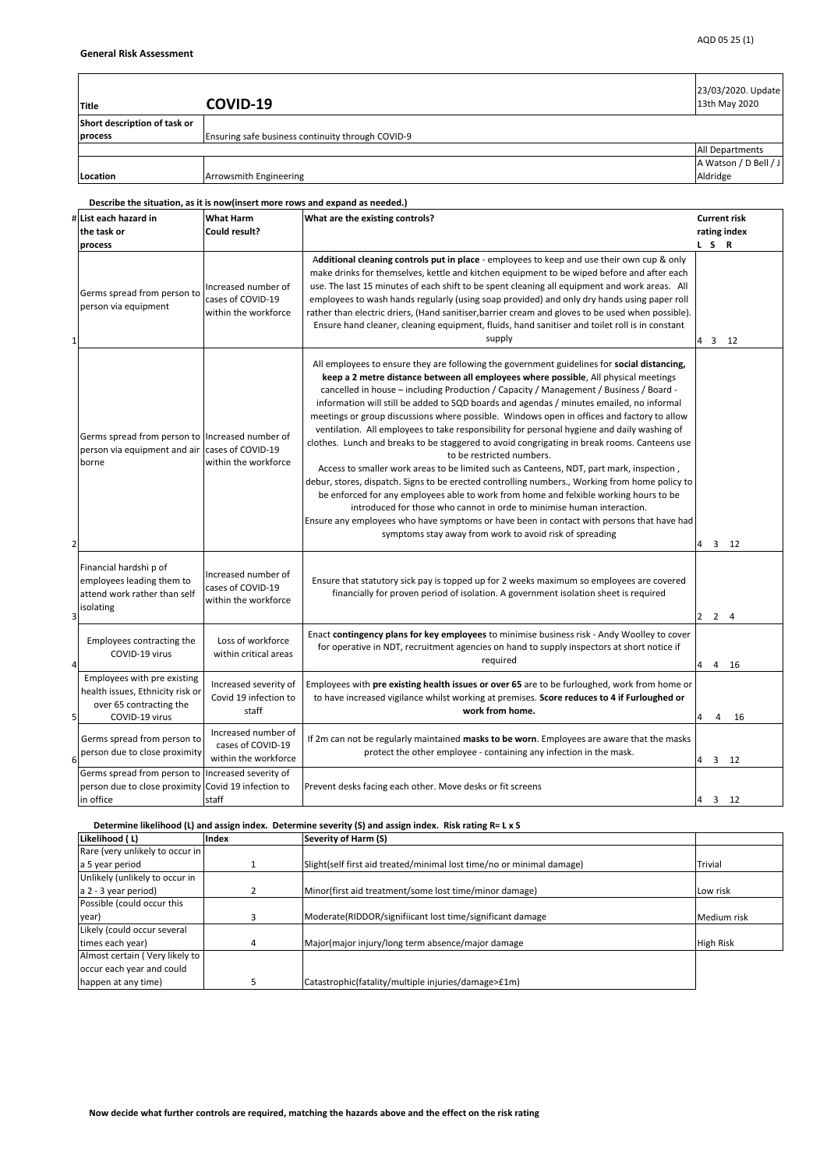**Describe the situation, as it is now(insert more rows and expand as needed.)**

| # List each hazard in<br>the task or<br>process                                                                   | <b>What Harm</b><br><b>Could result?</b>                         | What are the existing controls?                                                                                                                                                                                                                                                                                                                                                                                                                                                                                                                                                                                                                                                                                                                                                                                                                                                                                                                                                                                                                                                                                                                                                                                             | <b>Current risk</b><br>rating index<br>L S R |
|-------------------------------------------------------------------------------------------------------------------|------------------------------------------------------------------|-----------------------------------------------------------------------------------------------------------------------------------------------------------------------------------------------------------------------------------------------------------------------------------------------------------------------------------------------------------------------------------------------------------------------------------------------------------------------------------------------------------------------------------------------------------------------------------------------------------------------------------------------------------------------------------------------------------------------------------------------------------------------------------------------------------------------------------------------------------------------------------------------------------------------------------------------------------------------------------------------------------------------------------------------------------------------------------------------------------------------------------------------------------------------------------------------------------------------------|----------------------------------------------|
| Germs spread from person to<br>person via equipment                                                               | Increased number of<br>cases of COVID-19<br>within the workforce | Additional cleaning controls put in place - employees to keep and use their own cup & only<br>make drinks for themselves, kettle and kitchen equipment to be wiped before and after each<br>use. The last 15 minutes of each shift to be spent cleaning all equipment and work areas. All<br>employees to wash hands regularly (using soap provided) and only dry hands using paper roll<br>rather than electric driers, (Hand sanitiser, barrier cream and gloves to be used when possible).<br>Ensure hand cleaner, cleaning equipment, fluids, hand sanitiser and toilet roll is in constant<br>supply                                                                                                                                                                                                                                                                                                                                                                                                                                                                                                                                                                                                                   | $4 \quad 3$<br>12                            |
| Germs spread from person to Increased number of<br>person via equipment and air cases of COVID-19<br>borne<br>2   | within the workforce                                             | All employees to ensure they are following the government guidelines for social distancing,<br>keep a 2 metre distance between all employees where possible, All physical meetings<br>cancelled in house - including Production / Capacity / Management / Business / Board -<br>information will still be added to SQD boards and agendas / minutes emailed, no informal<br>meetings or group discussions where possible. Windows open in offices and factory to allow<br>ventilation. All employees to take responsibility for personal hygiene and daily washing of<br>clothes. Lunch and breaks to be staggered to avoid congrigating in break rooms. Canteens use<br>to be restricted numbers.<br>Access to smaller work areas to be limited such as Canteens, NDT, part mark, inspection,<br>debur, stores, dispatch. Signs to be erected controlling numbers., Working from home policy to<br>be enforced for any employees able to work from home and felxible working hours to be<br>introduced for those who cannot in orde to minimise human interaction.<br>Ensure any employees who have symptoms or have been in contact with persons that have had<br>symptoms stay away from work to avoid risk of spreading | 3<br>12<br>4                                 |
| Financial hardshi p of<br>employees leading them to<br>attend work rather than self<br>isolating<br>ર             | Increased number of<br>cases of COVID-19<br>within the workforce | Ensure that statutory sick pay is topped up for 2 weeks maximum so employees are covered<br>financially for proven period of isolation. A government isolation sheet is required                                                                                                                                                                                                                                                                                                                                                                                                                                                                                                                                                                                                                                                                                                                                                                                                                                                                                                                                                                                                                                            | 2<br>$2 \quad 4$                             |
| Employees contracting the<br>COVID-19 virus                                                                       | Loss of workforce<br>within critical areas                       | Enact contingency plans for key employees to minimise business risk - Andy Woolley to cover<br>for operative in NDT, recruitment agencies on hand to supply inspectors at short notice if<br>required                                                                                                                                                                                                                                                                                                                                                                                                                                                                                                                                                                                                                                                                                                                                                                                                                                                                                                                                                                                                                       | 16<br>4<br>4                                 |
| Employees with pre existing<br>health issues, Ethnicity risk or<br>over 65 contracting the<br>5<br>COVID-19 virus | Increased severity of<br>Covid 19 infection to<br>staff          | Employees with pre existing health issues or over 65 are to be furloughed, work from home or<br>to have increased vigilance whilst working at premises. Score reduces to 4 if Furloughed or<br>work from home.                                                                                                                                                                                                                                                                                                                                                                                                                                                                                                                                                                                                                                                                                                                                                                                                                                                                                                                                                                                                              | 4<br>16<br>4                                 |
| Germs spread from person to<br>person due to close proximity<br>6                                                 | Increased number of<br>cases of COVID-19<br>within the workforce | If 2m can not be regularly maintained masks to be worn. Employees are aware that the masks<br>protect the other employee - containing any infection in the mask.                                                                                                                                                                                                                                                                                                                                                                                                                                                                                                                                                                                                                                                                                                                                                                                                                                                                                                                                                                                                                                                            | 12<br>3<br>I4 I                              |
| Germs spread from person to<br>person due to close proximity Covid 19 infection to<br>in office                   | Increased severity of<br>staff                                   | Prevent desks facing each other. Move desks or fit screens                                                                                                                                                                                                                                                                                                                                                                                                                                                                                                                                                                                                                                                                                                                                                                                                                                                                                                                                                                                                                                                                                                                                                                  | 3 <sup>1</sup><br>12<br>14                   |

| ретенции постору (в) многоды тосли ретенцию зетенту (9) многозди тосли натирал в хо |       |                                                                       |                  |
|-------------------------------------------------------------------------------------|-------|-----------------------------------------------------------------------|------------------|
| Likelihood (L)                                                                      | Index | <b>Severity of Harm (S)</b>                                           |                  |
| Rare (very unlikely to occur in                                                     |       |                                                                       |                  |
| a 5 year period                                                                     |       | Slight(self first aid treated/minimal lost time/no or minimal damage) | <b>Trivial</b>   |
| Unlikely (unlikely to occur in                                                      |       |                                                                       |                  |
| $a$ 2 - 3 year period)                                                              |       | Minor(first aid treatment/some lost time/minor damage)                | Low risk         |
| Possible (could occur this                                                          |       |                                                                       |                  |
| year)                                                                               |       | Moderate(RIDDOR/signifiicant lost time/significant damage             | Medium risk      |
| Likely (could occur several                                                         |       |                                                                       |                  |
| times each year)                                                                    | 4     | Major(major injury/long term absence/major damage                     | <b>High Risk</b> |
| Almost certain (Very likely to                                                      |       |                                                                       |                  |
| occur each year and could                                                           |       |                                                                       |                  |
| happen at any time)                                                                 |       | Catastrophic(fatality/multiple injuries/damage>£1m)                   |                  |

 **Determine likelihood (L) and assign index. Determine severity (S) and assign index. Risk rating R= L x S**

| Title                        | COVID-19                                          | 23/03/2020. Update<br>13th May 2020 |
|------------------------------|---------------------------------------------------|-------------------------------------|
| Short description of task or |                                                   |                                     |
| process                      | Ensuring safe business continuity through COVID-9 |                                     |
|                              |                                                   | <b>All Departments</b>              |
|                              |                                                   | A Watson / D Bell / J               |
| Location                     | Arrowsmith Engineering                            | Aldridge                            |

 **Now decide what further controls are required, matching the hazards above and the effect on the risk rating**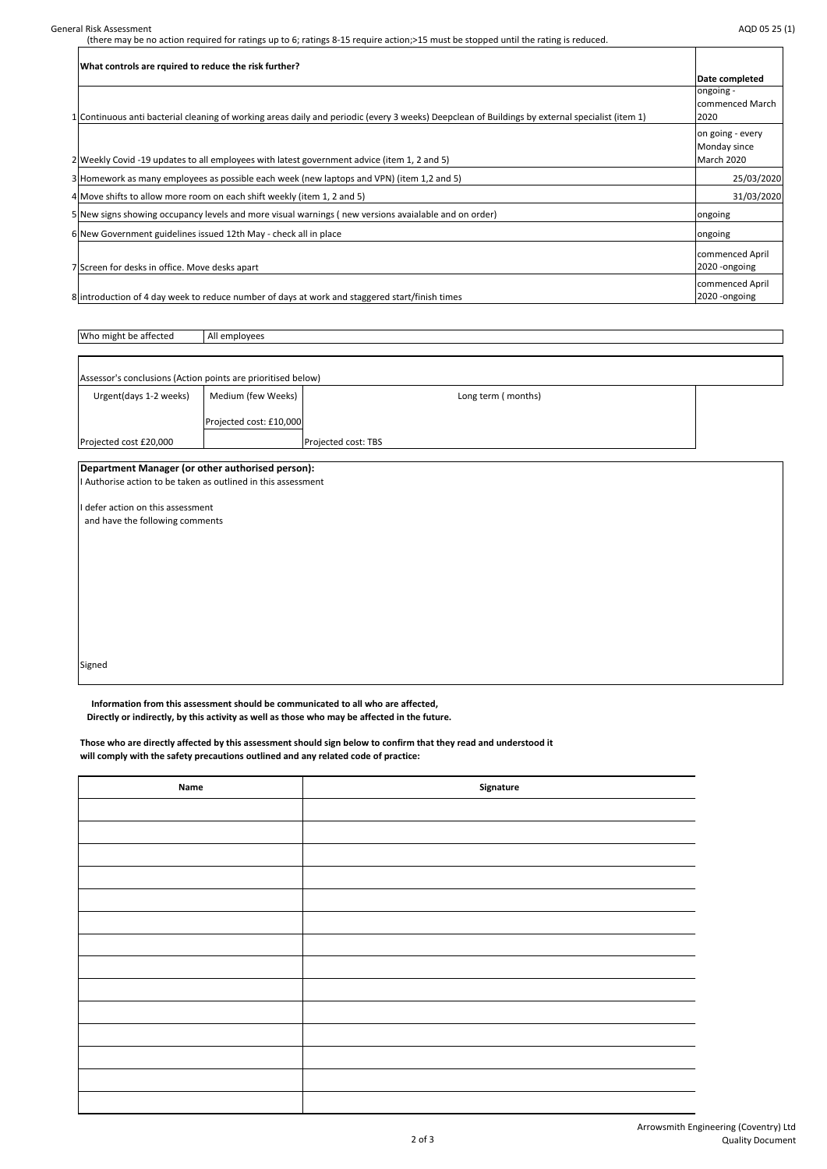(there may be no action required for ratings up to 6; ratings 8-15 require action;>15 must be stopped until the rating is reduced.

| Assessor's conclusions (Action points are prioritised below) |                         |                            |  |
|--------------------------------------------------------------|-------------------------|----------------------------|--|
| Urgent(days 1-2 weeks)                                       | Medium (few Weeks)      | Long term (months)         |  |
|                                                              | Projected cost: £10,000 |                            |  |
| Projected cost £20,000                                       |                         | <b>Projected cost: TBS</b> |  |

| What controls are rquired to reduce the risk further?                                                                                           |                  |
|-------------------------------------------------------------------------------------------------------------------------------------------------|------------------|
|                                                                                                                                                 | Date completed   |
|                                                                                                                                                 | longoing -       |
|                                                                                                                                                 | commenced March  |
| 1 Continuous anti bacterial cleaning of working areas daily and periodic (every 3 weeks) Deepclean of Buildings by external specialist (item 1) | 2020             |
|                                                                                                                                                 | on going - every |
|                                                                                                                                                 | Monday since     |
| 2 Weekly Covid -19 updates to all employees with latest government advice (item 1, 2 and 5)                                                     | March 2020       |
| 3 Homework as many employees as possible each week (new laptops and VPN) (item 1,2 and 5)                                                       | 25/03/2020       |
| 4 Move shifts to allow more room on each shift weekly (item 1, 2 and 5)                                                                         | 31/03/2020       |
| 5 New signs showing occupancy levels and more visual warnings (new versions avaialable and on order)                                            | <b>Ongoing</b>   |
| 6 New Government guidelines issued 12th May - check all in place                                                                                | ongoing          |
|                                                                                                                                                 | commenced April  |
| 7 Screen for desks in office. Move desks apart                                                                                                  | 2020 - ongoing   |
|                                                                                                                                                 | commenced April  |
| 8 lintroduction of 4 day week to reduce number of days at work and staggered start/finish times                                                 | 2020 - ongoing   |

Who might be affected All employees

 $\Gamma$ 

## **Department Manager (or other authorised person):**

I Authorise action to be taken as outlined in this assessment

I defer action on this assessment

and have the following comments

Signed

 **Information from this assessment should be communicated to all who are affected,**

 **Directly or indirectly, by this activity as well as those who may be affected in the future.**

**Those who are directly affected by this assessment should sign below to confirm that they read and understood it will comply with the safety precautions outlined and any related code of practice:**

| <b>Name</b> | Signature |
|-------------|-----------|
|             |           |